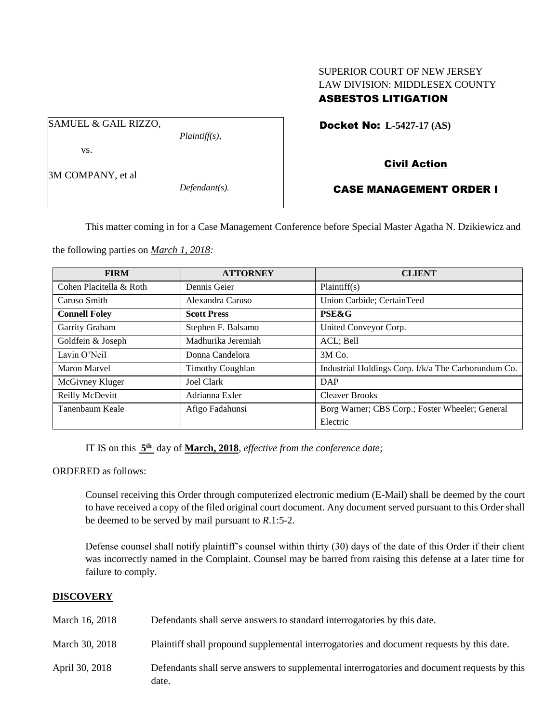# SUPERIOR COURT OF NEW JERSEY LAW DIVISION: MIDDLESEX COUNTY ASBESTOS LITIGATION

Docket No: **L-5427-17 (AS)** 

SAMUEL & GAIL RIZZO,

*Plaintiff(s),*

vs.

3M COMPANY, et al

*Defendant(s).*

# Civil Action

# CASE MANAGEMENT ORDER I

This matter coming in for a Case Management Conference before Special Master Agatha N. Dzikiewicz and

the following parties on *March 1, 2018:*

| <b>FIRM</b>             | <b>ATTORNEY</b>         | <b>CLIENT</b>                                       |
|-------------------------|-------------------------|-----------------------------------------------------|
| Cohen Placitella & Roth | Dennis Geier            | Plaintiff(s)                                        |
| Caruso Smith            | Alexandra Caruso        | Union Carbide; CertainTeed                          |
| <b>Connell Foley</b>    | <b>Scott Press</b>      | <b>PSE&amp;G</b>                                    |
| Garrity Graham          | Stephen F. Balsamo      | United Conveyor Corp.                               |
| Goldfein & Joseph       | Madhurika Jeremiah      | ACL; Bell                                           |
| Lavin O'Neil            | Donna Candelora         | 3M Co.                                              |
| Maron Marvel            | <b>Timothy Coughlan</b> | Industrial Holdings Corp. f/k/a The Carborundum Co. |
| McGivney Kluger         | Joel Clark              | <b>DAP</b>                                          |
| Reilly McDevitt         | Adrianna Exler          | <b>Cleaver Brooks</b>                               |
| Tanenbaum Keale         | Afigo Fadahunsi         | Borg Warner; CBS Corp.; Foster Wheeler; General     |
|                         |                         | Electric                                            |

IT IS on this **5 th** day of **March, 2018**, *effective from the conference date;*

ORDERED as follows:

Counsel receiving this Order through computerized electronic medium (E-Mail) shall be deemed by the court to have received a copy of the filed original court document. Any document served pursuant to this Order shall be deemed to be served by mail pursuant to *R*.1:5-2.

Defense counsel shall notify plaintiff's counsel within thirty (30) days of the date of this Order if their client was incorrectly named in the Complaint. Counsel may be barred from raising this defense at a later time for failure to comply.

## **DISCOVERY**

| March 16, 2018 | Defendants shall serve answers to standard interrogatories by this date.                              |
|----------------|-------------------------------------------------------------------------------------------------------|
| March 30, 2018 | Plaintiff shall propound supplemental interrogatories and document requests by this date.             |
| April 30, 2018 | Defendants shall serve answers to supplemental interrogatories and document requests by this<br>date. |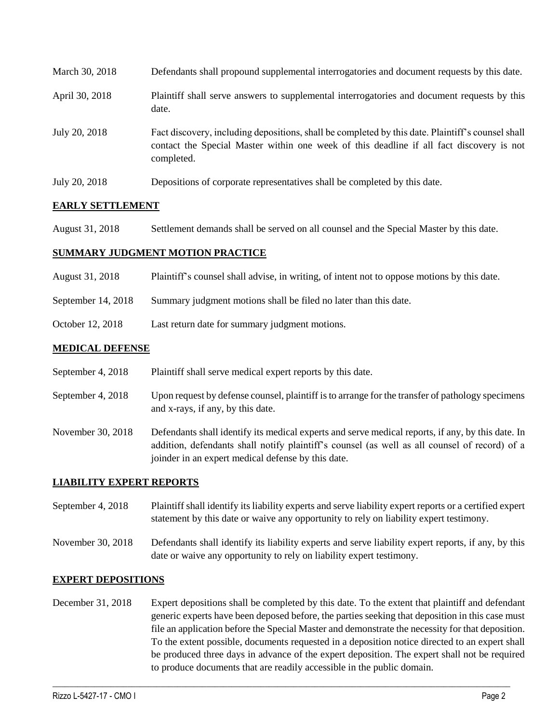| March 30, 2018 | Defendants shall propound supplemental interrogatories and document requests by this date.                                                                                                                  |
|----------------|-------------------------------------------------------------------------------------------------------------------------------------------------------------------------------------------------------------|
| April 30, 2018 | Plaintiff shall serve answers to supplemental interrogatories and document requests by this<br>date.                                                                                                        |
| July 20, 2018  | Fact discovery, including depositions, shall be completed by this date. Plaintiff's counsel shall<br>contact the Special Master within one week of this deadline if all fact discovery is not<br>completed. |
| July 20, 2018  | Depositions of corporate representatives shall be completed by this date.                                                                                                                                   |

## **EARLY SETTLEMENT**

August 31, 2018 Settlement demands shall be served on all counsel and the Special Master by this date.

#### **SUMMARY JUDGMENT MOTION PRACTICE**

- August 31, 2018 Plaintiff's counsel shall advise, in writing, of intent not to oppose motions by this date.
- September 14, 2018 Summary judgment motions shall be filed no later than this date.
- October 12, 2018 Last return date for summary judgment motions.

#### **MEDICAL DEFENSE**

- September 4, 2018 Plaintiff shall serve medical expert reports by this date.
- September 4, 2018 Upon request by defense counsel, plaintiff is to arrange for the transfer of pathology specimens and x-rays, if any, by this date.
- November 30, 2018 Defendants shall identify its medical experts and serve medical reports, if any, by this date. In addition, defendants shall notify plaintiff's counsel (as well as all counsel of record) of a joinder in an expert medical defense by this date.

## **LIABILITY EXPERT REPORTS**

- September 4, 2018 Plaintiff shall identify its liability experts and serve liability expert reports or a certified expert statement by this date or waive any opportunity to rely on liability expert testimony.
- November 30, 2018 Defendants shall identify its liability experts and serve liability expert reports, if any, by this date or waive any opportunity to rely on liability expert testimony.

#### **EXPERT DEPOSITIONS**

December 31, 2018 Expert depositions shall be completed by this date. To the extent that plaintiff and defendant generic experts have been deposed before, the parties seeking that deposition in this case must file an application before the Special Master and demonstrate the necessity for that deposition. To the extent possible, documents requested in a deposition notice directed to an expert shall be produced three days in advance of the expert deposition. The expert shall not be required to produce documents that are readily accessible in the public domain.

 $\_$  ,  $\_$  ,  $\_$  ,  $\_$  ,  $\_$  ,  $\_$  ,  $\_$  ,  $\_$  ,  $\_$  ,  $\_$  ,  $\_$  ,  $\_$  ,  $\_$  ,  $\_$  ,  $\_$  ,  $\_$  ,  $\_$  ,  $\_$  ,  $\_$  ,  $\_$  ,  $\_$  ,  $\_$  ,  $\_$  ,  $\_$  ,  $\_$  ,  $\_$  ,  $\_$  ,  $\_$  ,  $\_$  ,  $\_$  ,  $\_$  ,  $\_$  ,  $\_$  ,  $\_$  ,  $\_$  ,  $\_$  ,  $\_$  ,